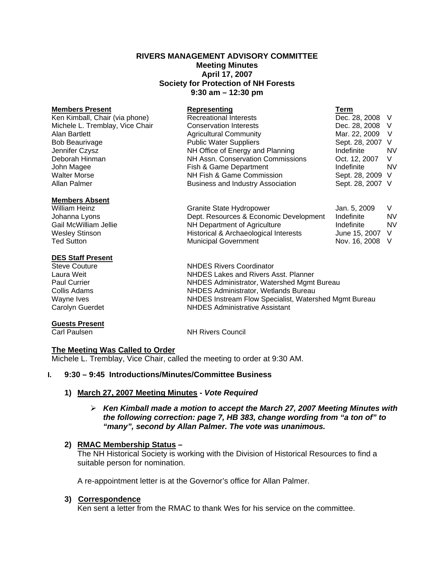#### **RIVERS MANAGEMENT ADVISORY COMMITTEE Meeting Minutes April 17, 2007 Society for Protection of NH Forests 9:30 am – 12:30 pm**

| <b>Members Present</b>          | Representing                             | Term             |           |
|---------------------------------|------------------------------------------|------------------|-----------|
| Ken Kimball, Chair (via phone)  | <b>Recreational Interests</b>            | Dec. 28, 2008 V  |           |
| Michele L. Tremblay, Vice Chair | <b>Conservation Interests</b>            | Dec. 28, 2008 V  |           |
| Alan Bartlett                   | <b>Agricultural Community</b>            | Mar. 22, 2009    | - V       |
| <b>Bob Beaurivage</b>           | <b>Public Water Suppliers</b>            | Sept. 28, 2007 V |           |
| Jennifer Czysz                  | NH Office of Energy and Planning         | Indefinite       | <b>NV</b> |
| Deborah Hinman                  | NH Assn. Conservation Commissions        | Oct. 12, 2007    | V         |
| John Magee                      | Fish & Game Department                   | Indefinite       | <b>NV</b> |
| <b>Walter Morse</b>             | NH Fish & Game Commission                | Sept. 28, 2009 V |           |
| Allan Palmer                    | <b>Business and Industry Association</b> | Sept. 28, 2007 V |           |
| Mamhare Aheant                  |                                          |                  |           |

| .                     |
|-----------------------|
| <b>William Heinz</b>  |
| Johanna Lyons         |
| Gail McWilliam Jellie |
| <b>Wesley Stinson</b> |
| <b>Ted Sutton</b>     |

#### **DES Staff Present**

# **Guests Present**

Granite State Hydropower Jan. 5, 2009 V Dept. Resources & Economic Development Indefinite NV NH Department of Agriculture Indefinite NV<br>
Historical & Archaeological Interests June 15, 2007 V Historical & Archaeological Interests June 15, 2007 V<br>Municipal Government Mov. 16, 2008 V Ted Sutton **Municipal Government** 

Steve Couture **NHDES** Rivers Coordinator Laura Weit NHDES Lakes and Rivers Asst. Planner Paul Currier NHDES Administrator, Watershed Mgmt Bureau Collis Adams NHDES Administrator, Wetlands Bureau Wayne Ives **NHDES Instream Flow Specialist, Watershed Mgmt Bureau**<br>Carolyn Guerdet **NHDES** Administrative Assistant **NHDES Administrative Assistant** 

**NH Rivers Council** 

# **The Meeting Was Called to Order**

Michele L. Tremblay, Vice Chair, called the meeting to order at 9:30 AM.

# **I. 9:30 – 9:45 Introductions/Minutes/Committee Business**

# **1) March 27, 2007 Meeting Minutes -** *Vote Required*

# ¾ *Ken Kimball made a motion to accept the March 27, 2007 Meeting Minutes with the following correction: page 7, HB 383, change wording from "a ton of" to "many", second by Allan Palmer. The vote was unanimous.*

# **2) RMAC Membership Status –**

The NH Historical Society is working with the Division of Historical Resources to find a suitable person for nomination.

A re-appointment letter is at the Governor's office for Allan Palmer.

# **3) Correspondence**

Ken sent a letter from the RMAC to thank Wes for his service on the committee.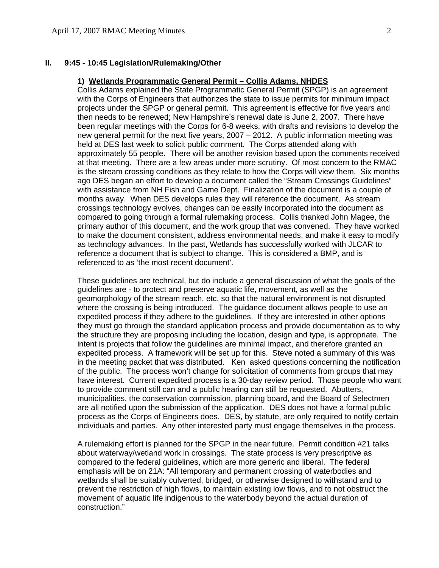#### **II. 9:45 - 10:45 Legislation/Rulemaking/Other**

#### **1) Wetlands Programmatic General Permit – Collis Adams, NHDES**

 Collis Adams explained the State Programmatic General Permit (SPGP) is an agreement with the Corps of Engineers that authorizes the state to issue permits for minimum impact projects under the SPGP or general permit. This agreement is effective for five years and then needs to be renewed; New Hampshire's renewal date is June 2, 2007. There have been regular meetings with the Corps for 6-8 weeks, with drafts and revisions to develop the new general permit for the next five years, 2007 – 2012. A public information meeting was held at DES last week to solicit public comment. The Corps attended along with approximately 55 people. There will be another revision based upon the comments received at that meeting. There are a few areas under more scrutiny. Of most concern to the RMAC is the stream crossing conditions as they relate to how the Corps will view them. Six months ago DES began an effort to develop a document called the "Stream Crossings Guidelines" with assistance from NH Fish and Game Dept. Finalization of the document is a couple of months away. When DES develops rules they will reference the document. As stream crossings technology evolves, changes can be easily incorporated into the document as compared to going through a formal rulemaking process. Collis thanked John Magee, the primary author of this document, and the work group that was convened. They have worked to make the document consistent, address environmental needs, and make it easy to modify as technology advances. In the past, Wetlands has successfully worked with JLCAR to reference a document that is subject to change. This is considered a BMP, and is referenced to as 'the most recent document'.

These guidelines are technical, but do include a general discussion of what the goals of the guidelines are - to protect and preserve aquatic life, movement, as well as the geomorphology of the stream reach, etc. so that the natural environment is not disrupted where the crossing is being introduced. The guidance document allows people to use an expedited process if they adhere to the guidelines. If they are interested in other options they must go through the standard application process and provide documentation as to why the structure they are proposing including the location, design and type, is appropriate. The intent is projects that follow the guidelines are minimal impact, and therefore granted an expedited process. A framework will be set up for this. Steve noted a summary of this was in the meeting packet that was distributed. Ken asked questions concerning the notification of the public. The process won't change for solicitation of comments from groups that may have interest. Current expedited process is a 30-day review period. Those people who want to provide comment still can and a public hearing can still be requested. Abutters, municipalities, the conservation commission, planning board, and the Board of Selectmen are all notified upon the submission of the application. DES does not have a formal public process as the Corps of Engineers does. DES, by statute, are only required to notify certain individuals and parties. Any other interested party must engage themselves in the process.

A rulemaking effort is planned for the SPGP in the near future. Permit condition #21 talks about waterway/wetland work in crossings. The state process is very prescriptive as compared to the federal guidelines, which are more generic and liberal. The federal emphasis will be on 21A: "All temporary and permanent crossing of waterbodies and wetlands shall be suitably culverted, bridged, or otherwise designed to withstand and to prevent the restriction of high flows, to maintain existing low flows, and to not obstruct the movement of aquatic life indigenous to the waterbody beyond the actual duration of construction."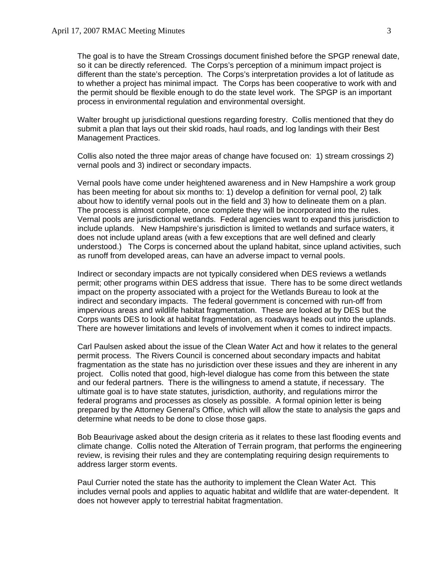The goal is to have the Stream Crossings document finished before the SPGP renewal date, so it can be directly referenced. The Corps's perception of a minimum impact project is different than the state's perception. The Corps's interpretation provides a lot of latitude as to whether a project has minimal impact. The Corps has been cooperative to work with and the permit should be flexible enough to do the state level work. The SPGP is an important process in environmental regulation and environmental oversight.

Walter brought up jurisdictional questions regarding forestry. Collis mentioned that they do submit a plan that lays out their skid roads, haul roads, and log landings with their Best Management Practices.

Collis also noted the three major areas of change have focused on: 1) stream crossings 2) vernal pools and 3) indirect or secondary impacts.

Vernal pools have come under heightened awareness and in New Hampshire a work group has been meeting for about six months to: 1) develop a definition for vernal pool, 2) talk about how to identify vernal pools out in the field and 3) how to delineate them on a plan. The process is almost complete, once complete they will be incorporated into the rules. Vernal pools are jurisdictional wetlands. Federal agencies want to expand this jurisdiction to include uplands. New Hampshire's jurisdiction is limited to wetlands and surface waters, it does not include upland areas (with a few exceptions that are well defined and clearly understood.) The Corps is concerned about the upland habitat, since upland activities, such as runoff from developed areas, can have an adverse impact to vernal pools.

Indirect or secondary impacts are not typically considered when DES reviews a wetlands permit; other programs within DES address that issue. There has to be some direct wetlands impact on the property associated with a project for the Wetlands Bureau to look at the indirect and secondary impacts. The federal government is concerned with run-off from impervious areas and wildlife habitat fragmentation. These are looked at by DES but the Corps wants DES to look at habitat fragmentation, as roadways heads out into the uplands. There are however limitations and levels of involvement when it comes to indirect impacts.

Carl Paulsen asked about the issue of the Clean Water Act and how it relates to the general permit process. The Rivers Council is concerned about secondary impacts and habitat fragmentation as the state has no jurisdiction over these issues and they are inherent in any project. Collis noted that good, high-level dialogue has come from this between the state and our federal partners. There is the willingness to amend a statute, if necessary. The ultimate goal is to have state statutes, jurisdiction, authority, and regulations mirror the federal programs and processes as closely as possible. A formal opinion letter is being prepared by the Attorney General's Office, which will allow the state to analysis the gaps and determine what needs to be done to close those gaps.

Bob Beaurivage asked about the design criteria as it relates to these last flooding events and climate change. Collis noted the Alteration of Terrain program, that performs the engineering review, is revising their rules and they are contemplating requiring design requirements to address larger storm events.

Paul Currier noted the state has the authority to implement the Clean Water Act. This includes vernal pools and applies to aquatic habitat and wildlife that are water-dependent. It does not however apply to terrestrial habitat fragmentation.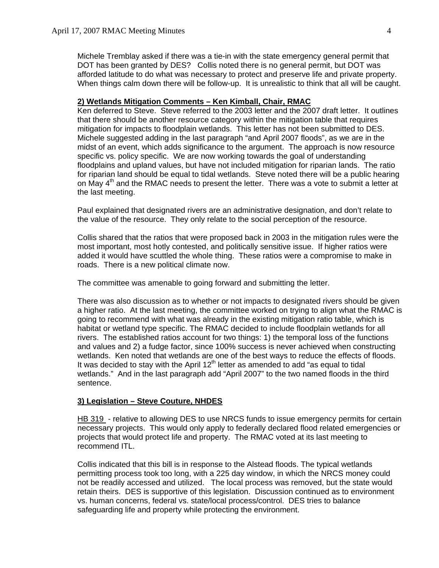Michele Tremblay asked if there was a tie-in with the state emergency general permit that DOT has been granted by DES? Collis noted there is no general permit, but DOT was afforded latitude to do what was necessary to protect and preserve life and private property. When things calm down there will be follow-up. It is unrealistic to think that all will be caught.

# **2) Wetlands Mitigation Comments – Ken Kimball, Chair, RMAC**

Ken deferred to Steve. Steve referred to the 2003 letter and the 2007 draft letter. It outlines that there should be another resource category within the mitigation table that requires mitigation for impacts to floodplain wetlands. This letter has not been submitted to DES. Michele suggested adding in the last paragraph "and April 2007 floods", as we are in the midst of an event, which adds significance to the argument. The approach is now resource specific vs. policy specific. We are now working towards the goal of understanding floodplains and upland values, but have not included mitigation for riparian lands. The ratio for riparian land should be equal to tidal wetlands. Steve noted there will be a public hearing on May  $4<sup>th</sup>$  and the RMAC needs to present the letter. There was a vote to submit a letter at the last meeting.

Paul explained that designated rivers are an administrative designation, and don't relate to the value of the resource. They only relate to the social perception of the resource.

Collis shared that the ratios that were proposed back in 2003 in the mitigation rules were the most important, most hotly contested, and politically sensitive issue. If higher ratios were added it would have scuttled the whole thing. These ratios were a compromise to make in roads. There is a new political climate now.

The committee was amenable to going forward and submitting the letter.

There was also discussion as to whether or not impacts to designated rivers should be given a higher ratio. At the last meeting, the committee worked on trying to align what the RMAC is going to recommend with what was already in the existing mitigation ratio table, which is habitat or wetland type specific. The RMAC decided to include floodplain wetlands for all rivers. The established ratios account for two things: 1) the temporal loss of the functions and values and 2) a fudge factor, since 100% success is never achieved when constructing wetlands. Ken noted that wetlands are one of the best ways to reduce the effects of floods. It was decided to stay with the April  $12<sup>th</sup>$  letter as amended to add "as equal to tidal wetlands." And in the last paragraph add "April 2007" to the two named floods in the third sentence.

#### **3) Legislation – Steve Couture, NHDES**

HB 319 - relative to allowing DES to use NRCS funds to issue emergency permits for certain necessary projects. This would only apply to federally declared flood related emergencies or projects that would protect life and property. The RMAC voted at its last meeting to recommend ITL.

Collis indicated that this bill is in response to the Alstead floods. The typical wetlands permitting process took too long, with a 225 day window, in which the NRCS money could not be readily accessed and utilized. The local process was removed, but the state would retain theirs. DES is supportive of this legislation. Discussion continued as to environment vs. human concerns, federal vs. state/local process/control. DES tries to balance safeguarding life and property while protecting the environment.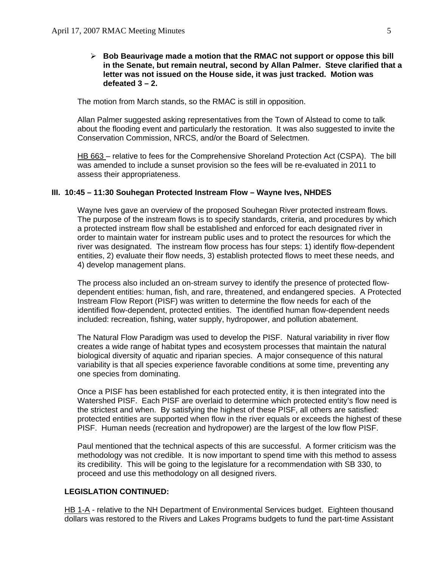#### ¾ **Bob Beaurivage made a motion that the RMAC not support or oppose this bill in the Senate, but remain neutral, second by Allan Palmer. Steve clarified that a letter was not issued on the House side, it was just tracked. Motion was defeated 3 – 2.**

The motion from March stands, so the RMAC is still in opposition.

Allan Palmer suggested asking representatives from the Town of Alstead to come to talk about the flooding event and particularly the restoration. It was also suggested to invite the Conservation Commission, NRCS, and/or the Board of Selectmen.

HB 663 – relative to fees for the Comprehensive Shoreland Protection Act (CSPA). The bill was amended to include a sunset provision so the fees will be re-evaluated in 2011 to assess their appropriateness.

#### **III. 10:45 – 11:30 Souhegan Protected Instream Flow – Wayne Ives, NHDES**

Wayne Ives gave an overview of the proposed Souhegan River protected instream flows. The purpose of the instream flows is to specify standards, criteria, and procedures by which a protected instream flow shall be established and enforced for each designated river in order to maintain water for instream public uses and to protect the resources for which the river was designated. The instream flow process has four steps: 1) identify flow-dependent entities, 2) evaluate their flow needs, 3) establish protected flows to meet these needs, and 4) develop management plans.

The process also included an on-stream survey to identify the presence of protected flowdependent entities: human, fish, and rare, threatened, and endangered species. A Protected Instream Flow Report (PISF) was written to determine the flow needs for each of the identified flow-dependent, protected entities. The identified human flow-dependent needs included: recreation, fishing, water supply, hydropower, and pollution abatement.

The Natural Flow Paradigm was used to develop the PISF. Natural variability in river flow creates a wide range of habitat types and ecosystem processes that maintain the natural biological diversity of aquatic and riparian species. A major consequence of this natural variability is that all species experience favorable conditions at some time, preventing any one species from dominating.

Once a PISF has been established for each protected entity, it is then integrated into the Watershed PISF. Each PISF are overlaid to determine which protected entity's flow need is the strictest and when. By satisfying the highest of these PISF, all others are satisfied: protected entities are supported when flow in the river equals or exceeds the highest of these PISF. Human needs (recreation and hydropower) are the largest of the low flow PISF.

Paul mentioned that the technical aspects of this are successful. A former criticism was the methodology was not credible. It is now important to spend time with this method to assess its credibility. This will be going to the legislature for a recommendation with SB 330, to proceed and use this methodology on all designed rivers.

#### **LEGISLATION CONTINUED:**

HB 1-A - relative to the NH Department of Environmental Services budget. Eighteen thousand dollars was restored to the Rivers and Lakes Programs budgets to fund the part-time Assistant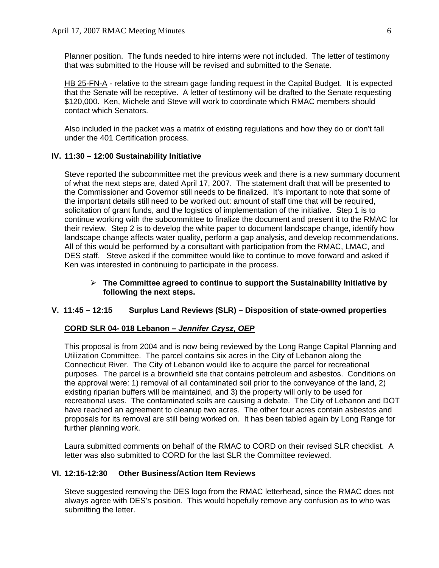Planner position. The funds needed to hire interns were not included. The letter of testimony that was submitted to the House will be revised and submitted to the Senate.

HB 25-FN-A - relative to the stream gage funding request in the Capital Budget. It is expected that the Senate will be receptive. A letter of testimony will be drafted to the Senate requesting \$120,000. Ken, Michele and Steve will work to coordinate which RMAC members should contact which Senators.

Also included in the packet was a matrix of existing regulations and how they do or don't fall under the 401 Certification process.

# **IV. 11:30 – 12:00 Sustainability Initiative**

Steve reported the subcommittee met the previous week and there is a new summary document of what the next steps are, dated April 17, 2007. The statement draft that will be presented to the Commissioner and Governor still needs to be finalized. It's important to note that some of the important details still need to be worked out: amount of staff time that will be required, solicitation of grant funds, and the logistics of implementation of the initiative. Step 1 is to continue working with the subcommittee to finalize the document and present it to the RMAC for their review. Step 2 is to develop the white paper to document landscape change, identify how landscape change affects water quality, perform a gap analysis, and develop recommendations. All of this would be performed by a consultant with participation from the RMAC, LMAC, and DES staff. Steve asked if the committee would like to continue to move forward and asked if Ken was interested in continuing to participate in the process.

# ¾ **The Committee agreed to continue to support the Sustainability Initiative by following the next steps.**

# **V. 11:45 – 12:15 Surplus Land Reviews (SLR) – Disposition of state-owned properties**

#### **CORD SLR 04- 018 Lebanon –** *Jennifer Czysz, OEP*

This proposal is from 2004 and is now being reviewed by the Long Range Capital Planning and Utilization Committee. The parcel contains six acres in the City of Lebanon along the Connecticut River. The City of Lebanon would like to acquire the parcel for recreational purposes. The parcel is a brownfield site that contains petroleum and asbestos. Conditions on the approval were: 1) removal of all contaminated soil prior to the conveyance of the land, 2) existing riparian buffers will be maintained, and 3) the property will only to be used for recreational uses. The contaminated soils are causing a debate. The City of Lebanon and DOT have reached an agreement to cleanup two acres. The other four acres contain asbestos and proposals for its removal are still being worked on. It has been tabled again by Long Range for further planning work.

Laura submitted comments on behalf of the RMAC to CORD on their revised SLR checklist. A letter was also submitted to CORD for the last SLR the Committee reviewed.

# **VI. 12:15-12:30 Other Business/Action Item Reviews**

Steve suggested removing the DES logo from the RMAC letterhead, since the RMAC does not always agree with DES's position. This would hopefully remove any confusion as to who was submitting the letter.